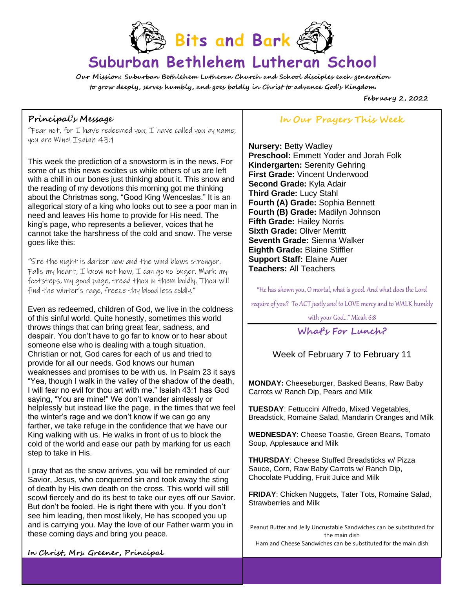

# **Suburban Bethlehem Lutheran School**

**Our Mission: Suburban Bethlehem Lutheran Church and School disciples each generation to grow deeply, serves humbly, and goes boldly in Christ to advance God's Kingdom.**

**February 2, 2022**

## **Principal's Message**

"Fear not, for  $I$  have redeemed you;  $I$  have called you by name; you are Mine! Isaiah 43:1

This week the prediction of a snowstorm is in the news. For some of us this news excites us while others of us are left with a chill in our bones just thinking about it. This snow and the reading of my devotions this morning got me thinking about the Christmas song, "Good King Wenceslas." It is an allegorical story of a king who looks out to see a poor man in need and leaves His home to provide for His need. The king's page, who represents a believer, voices that he cannot take the harshness of the cold and snow. The verse goes like this:

"Sire the night is darker now and the wind blows stronger. Falls my heart,  $I$  know not how,  $I$  can go no longer. Mark my footsteps, my good page, tread thou in them boldly. Thou will find the winter's rage, freeze thy blood less coldly."

Even as redeemed, children of God, we live in the coldness of this sinful world. Quite honestly, sometimes this world throws things that can bring great fear, sadness, and despair. You don't have to go far to know or to hear about someone else who is dealing with a tough situation. Christian or not, God cares for each of us and tried to provide for all our needs. God knows our human weaknesses and promises to be with us. In Psalm 23 it says "Yea, though I walk in the valley of the shadow of the death, I will fear no evil for thou art with me." Isaiah 43:1 has God saying, "You are mine!" We don't wander aimlessly or helplessly but instead like the page, in the times that we feel the winter's rage and we don't know if we can go any farther, we take refuge in the confidence that we have our King walking with us. He walks in front of us to block the cold of the world and ease our path by marking for us each step to take in His.

I pray that as the snow arrives, you will be reminded of our Savior, Jesus, who conquered sin and took away the sting of death by His own death on the cross. This world will still scowl fiercely and do its best to take our eyes off our Savior. But don't be fooled. He is right there with you. If you don't see him leading, then most likely, He has scooped you up and is carrying you. May the love of our Father warm you in these coming days and bring you peace.

# **In Our Prayers This Week**

**Nursery:** Betty Wadley **Preschool:** Emmett Yoder and Jorah Folk **Kindergarten:** Serenity Gehring **First Grade:** Vincent Underwood **Second Grade:** Kyla Adair **Third Grade:** Lucy Stahl **Fourth (A) Grade:** Sophia Bennett **Fourth (B) Grade:** Madilyn Johnson **Fifth Grade:** Hailey Norris **Sixth Grade:** Oliver Merritt **Seventh Grade:** Sienna Walker **Eighth Grade:** Blaine Stiffler **Support Staff:** Elaine Auer **Teachers:** All Teachers

"He has shown you, O mortal, what is good. And what does the Lord

require of you? To ACT justly and to LOVE mercy and to WALK humbly

with your God…" Micah 6:8

# **What's For Lunch?**

## Week of February 7 to February 11

**MONDAY:** Cheeseburger, Basked Beans, Raw Baby Carrots w/ Ranch Dip, Pears and Milk

**TUESDAY**: Fettuccini Alfredo, Mixed Vegetables, Breadstick, Romaine Salad, Mandarin Oranges and Milk

**WEDNESDAY**: Cheese Toastie, Green Beans, Tomato Soup, Applesauce and Milk

**THURSDAY**: Cheese Stuffed Breadsticks w/ Pizza Sauce, Corn, Raw Baby Carrots w/ Ranch Dip, Chocolate Pudding, Fruit Juice and Milk

**FRIDAY**: Chicken Nuggets, Tater Tots, Romaine Salad, Strawberries and Milk

Peanut Butter and Jelly Uncrustable Sandwiches can be substituted for the main dish Ham and Cheese Sandwiches can be substituted for the main dish

 $\mathcal{N}$  yogurt and  $\mathcal{N}$  is the substituted for the main disk can be substituted for the main disk can be substituted for the main disk can be substituted for the main disk can be substituted for the main disk can be

EQUAL OPPORTUNITY PROVIDER

**In Christ, Mrs. Greener, Principal**